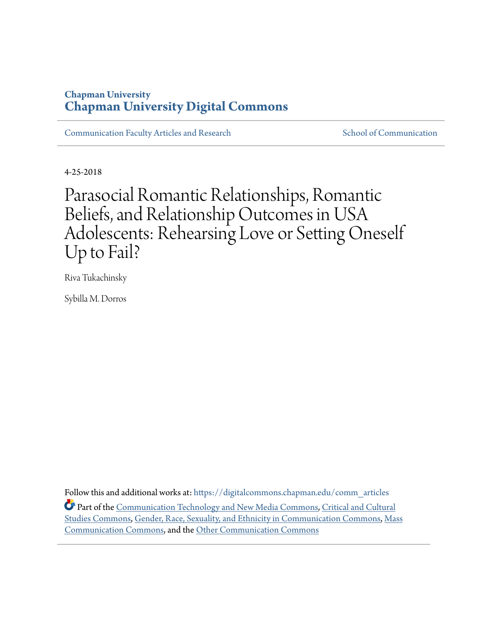## **Chapman University [Chapman University Digital Commons](https://digitalcommons.chapman.edu?utm_source=digitalcommons.chapman.edu%2Fcomm_articles%2F54&utm_medium=PDF&utm_campaign=PDFCoverPages)**

[Communication Faculty Articles and Research](https://digitalcommons.chapman.edu/comm_articles?utm_source=digitalcommons.chapman.edu%2Fcomm_articles%2F54&utm_medium=PDF&utm_campaign=PDFCoverPages) [School of Communication](https://digitalcommons.chapman.edu/communication?utm_source=digitalcommons.chapman.edu%2Fcomm_articles%2F54&utm_medium=PDF&utm_campaign=PDFCoverPages)

4-25-2018

Parasocial Romantic Relationships, Romantic Beliefs, and Relationship Outcomes in USA Adolescents: Rehearsing Love or Setting Oneself Up to Fail?

Riva Tukachinsky

Sybilla M. Dorros

Follow this and additional works at: [https://digitalcommons.chapman.edu/comm\\_articles](https://digitalcommons.chapman.edu/comm_articles?utm_source=digitalcommons.chapman.edu%2Fcomm_articles%2F54&utm_medium=PDF&utm_campaign=PDFCoverPages) Part of the [Communication Technology and New Media Commons](http://network.bepress.com/hgg/discipline/327?utm_source=digitalcommons.chapman.edu%2Fcomm_articles%2F54&utm_medium=PDF&utm_campaign=PDFCoverPages), [Critical and Cultural](http://network.bepress.com/hgg/discipline/328?utm_source=digitalcommons.chapman.edu%2Fcomm_articles%2F54&utm_medium=PDF&utm_campaign=PDFCoverPages) [Studies Commons](http://network.bepress.com/hgg/discipline/328?utm_source=digitalcommons.chapman.edu%2Fcomm_articles%2F54&utm_medium=PDF&utm_campaign=PDFCoverPages), [Gender, Race, Sexuality, and Ethnicity in Communication Commons,](http://network.bepress.com/hgg/discipline/329?utm_source=digitalcommons.chapman.edu%2Fcomm_articles%2F54&utm_medium=PDF&utm_campaign=PDFCoverPages) [Mass](http://network.bepress.com/hgg/discipline/334?utm_source=digitalcommons.chapman.edu%2Fcomm_articles%2F54&utm_medium=PDF&utm_campaign=PDFCoverPages) [Communication Commons,](http://network.bepress.com/hgg/discipline/334?utm_source=digitalcommons.chapman.edu%2Fcomm_articles%2F54&utm_medium=PDF&utm_campaign=PDFCoverPages) and the [Other Communication Commons](http://network.bepress.com/hgg/discipline/339?utm_source=digitalcommons.chapman.edu%2Fcomm_articles%2F54&utm_medium=PDF&utm_campaign=PDFCoverPages)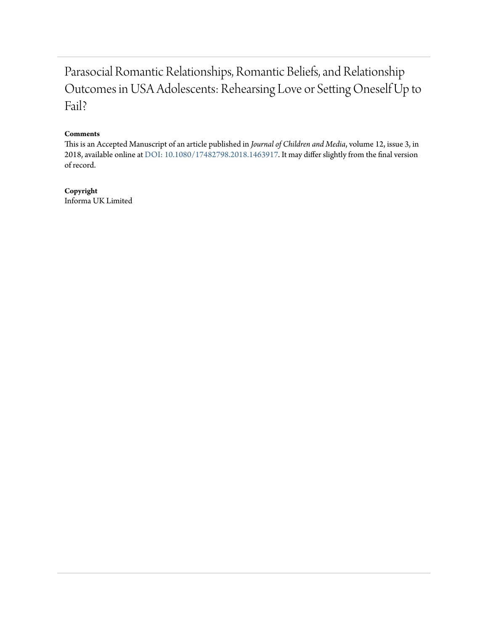# Parasocial Romantic Relationships, Romantic Beliefs, and Relationship Outcomes in USA Adolescents: Rehearsing Love or Setting Oneself Up to Fail?

## **Comments**

This is an Accepted Manuscript of an article published in *Journal of Children and Media*, volume 12, issue 3, in 2018, available online at [DOI: 10.1080/17482798.2018.1463917](http://www.tandfonline.com/10.1080/17482798.2018.1463917). It may differ slightly from the final version of record.

## **Copyright**

Informa UK Limited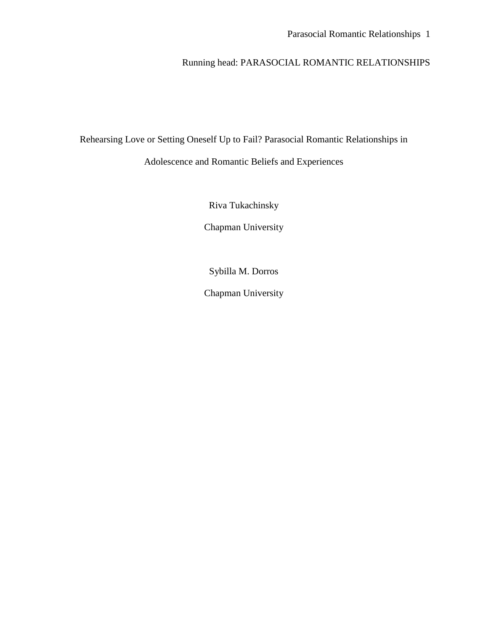## Running head: PARASOCIAL ROMANTIC RELATIONSHIPS

Rehearsing Love or Setting Oneself Up to Fail? Parasocial Romantic Relationships in Adolescence and Romantic Beliefs and Experiences

Riva Tukachinsky

Chapman University

Sybilla M. Dorros

Chapman University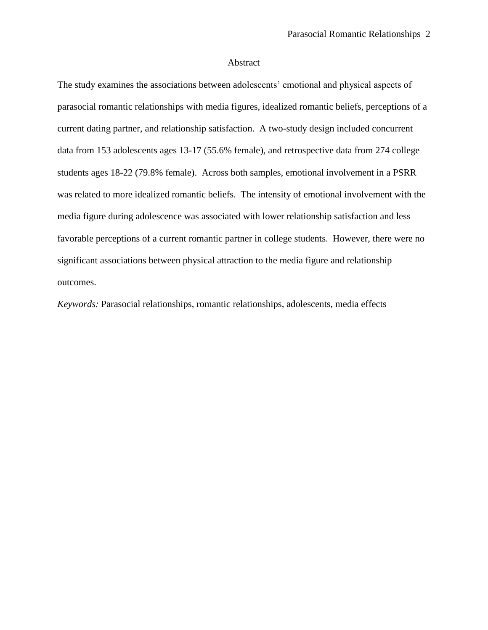## Abstract

The study examines the associations between adolescents' emotional and physical aspects of parasocial romantic relationships with media figures, idealized romantic beliefs, perceptions of a current dating partner, and relationship satisfaction. A two-study design included concurrent data from 153 adolescents ages 13-17 (55.6% female), and retrospective data from 274 college students ages 18-22 (79.8% female). Across both samples, emotional involvement in a PSRR was related to more idealized romantic beliefs. The intensity of emotional involvement with the media figure during adolescence was associated with lower relationship satisfaction and less favorable perceptions of a current romantic partner in college students. However, there were no significant associations between physical attraction to the media figure and relationship outcomes.

*Keywords:* Parasocial relationships, romantic relationships, adolescents, media effects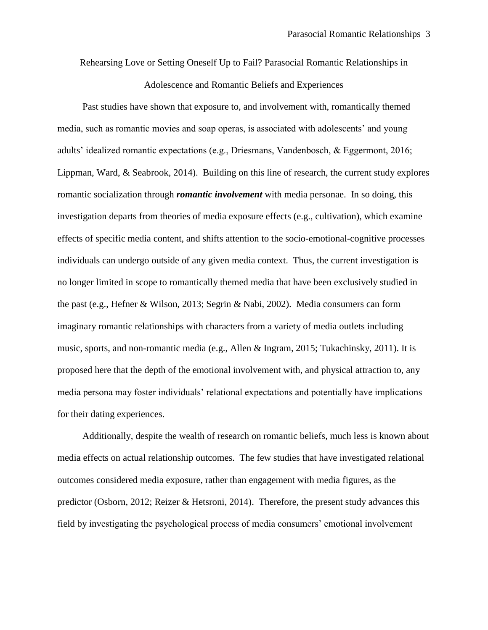Rehearsing Love or Setting Oneself Up to Fail? Parasocial Romantic Relationships in Adolescence and Romantic Beliefs and Experiences

Past studies have shown that exposure to, and involvement with, romantically themed media, such as romantic movies and soap operas, is associated with adolescents' and young adults' idealized romantic expectations (e.g., Driesmans, Vandenbosch, & Eggermont, 2016; Lippman, Ward, & Seabrook, 2014). Building on this line of research, the current study explores romantic socialization through *romantic involvement* with media personae. In so doing, this investigation departs from theories of media exposure effects (e.g., cultivation), which examine effects of specific media content, and shifts attention to the socio-emotional-cognitive processes individuals can undergo outside of any given media context. Thus, the current investigation is no longer limited in scope to romantically themed media that have been exclusively studied in the past (e.g., Hefner & Wilson, 2013; Segrin & Nabi, 2002). Media consumers can form imaginary romantic relationships with characters from a variety of media outlets including music, sports, and non-romantic media (e.g., Allen & Ingram, 2015; Tukachinsky, 2011). It is proposed here that the depth of the emotional involvement with, and physical attraction to, any media persona may foster individuals' relational expectations and potentially have implications for their dating experiences.

Additionally, despite the wealth of research on romantic beliefs, much less is known about media effects on actual relationship outcomes. The few studies that have investigated relational outcomes considered media exposure, rather than engagement with media figures, as the predictor (Osborn, 2012; Reizer & Hetsroni, 2014). Therefore, the present study advances this field by investigating the psychological process of media consumers' emotional involvement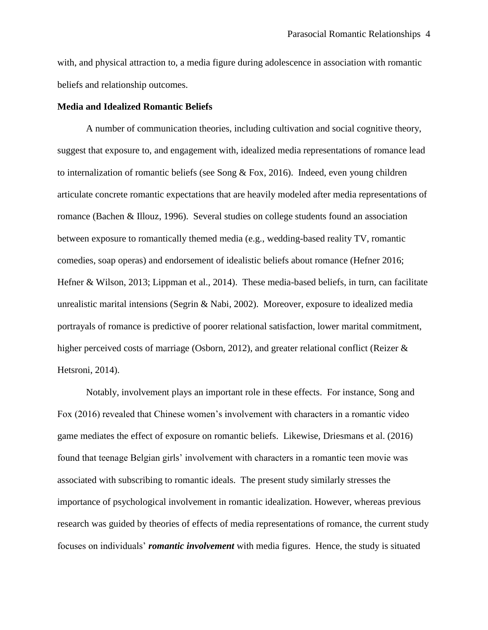with, and physical attraction to, a media figure during adolescence in association with romantic beliefs and relationship outcomes.

## **Media and Idealized Romantic Beliefs**

A number of communication theories, including cultivation and social cognitive theory, suggest that exposure to, and engagement with, idealized media representations of romance lead to internalization of romantic beliefs (see Song & Fox, 2016). Indeed, even young children articulate concrete romantic expectations that are heavily modeled after media representations of romance (Bachen & Illouz, 1996). Several studies on college students found an association between exposure to romantically themed media (e.g., wedding-based reality TV, romantic comedies, soap operas) and endorsement of idealistic beliefs about romance (Hefner 2016; Hefner & Wilson, 2013; Lippman et al., 2014). These media-based beliefs, in turn, can facilitate unrealistic marital intensions (Segrin & Nabi, 2002). Moreover, exposure to idealized media portrayals of romance is predictive of poorer relational satisfaction, lower marital commitment, higher perceived costs of marriage (Osborn, 2012), and greater relational conflict (Reizer & Hetsroni, 2014).

Notably, involvement plays an important role in these effects. For instance, Song and Fox (2016) revealed that Chinese women's involvement with characters in a romantic video game mediates the effect of exposure on romantic beliefs. Likewise, Driesmans et al. (2016) found that teenage Belgian girls' involvement with characters in a romantic teen movie was associated with subscribing to romantic ideals. The present study similarly stresses the importance of psychological involvement in romantic idealization. However, whereas previous research was guided by theories of effects of media representations of romance, the current study focuses on individuals' *romantic involvement* with media figures. Hence, the study is situated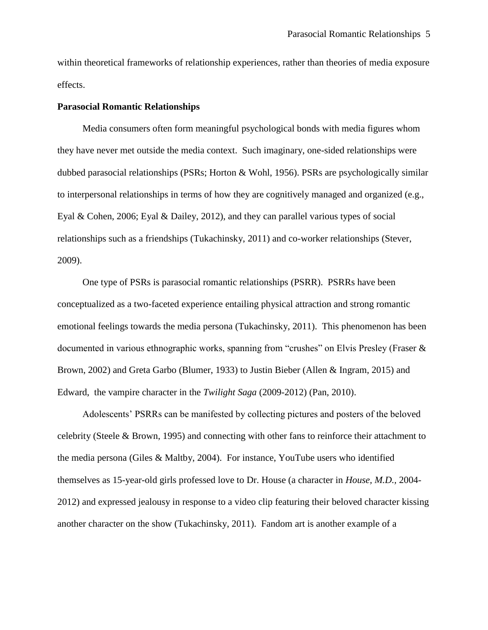within theoretical frameworks of relationship experiences, rather than theories of media exposure effects.

## **Parasocial Romantic Relationships**

Media consumers often form meaningful psychological bonds with media figures whom they have never met outside the media context. Such imaginary, one-sided relationships were dubbed parasocial relationships (PSRs; Horton & Wohl, 1956). PSRs are psychologically similar to interpersonal relationships in terms of how they are cognitively managed and organized (e.g., Eyal & Cohen, 2006; Eyal & Dailey, 2012), and they can parallel various types of social relationships such as a friendships (Tukachinsky, 2011) and co-worker relationships (Stever, 2009).

One type of PSRs is parasocial romantic relationships (PSRR). PSRRs have been conceptualized as a two-faceted experience entailing physical attraction and strong romantic emotional feelings towards the media persona (Tukachinsky, 2011). This phenomenon has been documented in various ethnographic works, spanning from "crushes" on Elvis Presley (Fraser & Brown, 2002) and Greta Garbo (Blumer, 1933) to Justin Bieber (Allen & Ingram, 2015) and Edward, the vampire character in the *Twilight Saga* (2009-2012) (Pan, 2010).

Adolescents' PSRRs can be manifested by collecting pictures and posters of the beloved celebrity (Steele & Brown, 1995) and connecting with other fans to reinforce their attachment to the media persona (Giles & Maltby, 2004). For instance, YouTube users who identified themselves as 15-year-old girls professed love to Dr. House (a character in *House, M.D.,* 2004- 2012) and expressed jealousy in response to a video clip featuring their beloved character kissing another character on the show (Tukachinsky, 2011). Fandom art is another example of a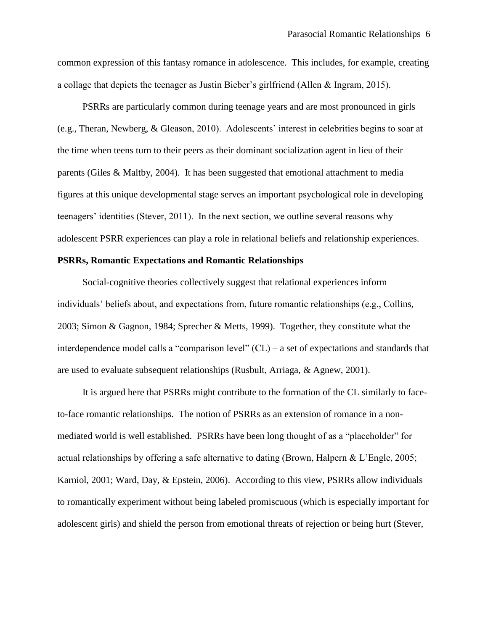common expression of this fantasy romance in adolescence. This includes, for example, creating a collage that depicts the teenager as Justin Bieber's girlfriend (Allen & Ingram, 2015).

PSRRs are particularly common during teenage years and are most pronounced in girls (e.g., Theran, Newberg, & Gleason, 2010). Adolescents' interest in celebrities begins to soar at the time when teens turn to their peers as their dominant socialization agent in lieu of their parents (Giles & Maltby, 2004). It has been suggested that emotional attachment to media figures at this unique developmental stage serves an important psychological role in developing teenagers' identities (Stever, 2011). In the next section, we outline several reasons why adolescent PSRR experiences can play a role in relational beliefs and relationship experiences.

## **PSRRs, Romantic Expectations and Romantic Relationships**

Social-cognitive theories collectively suggest that relational experiences inform individuals' beliefs about, and expectations from, future romantic relationships (e.g., Collins, 2003; Simon & Gagnon, 1984; Sprecher & Metts, 1999). Together, they constitute what the interdependence model calls a "comparison level" (CL) – a set of expectations and standards that are used to evaluate subsequent relationships (Rusbult, Arriaga, & Agnew, 2001).

It is argued here that PSRRs might contribute to the formation of the CL similarly to faceto-face romantic relationships. The notion of PSRRs as an extension of romance in a nonmediated world is well established. PSRRs have been long thought of as a "placeholder" for actual relationships by offering a safe alternative to dating (Brown, Halpern & L'Engle, 2005; Karniol, 2001; Ward, Day, & Epstein, 2006). According to this view, PSRRs allow individuals to romantically experiment without being labeled promiscuous (which is especially important for adolescent girls) and shield the person from emotional threats of rejection or being hurt (Stever,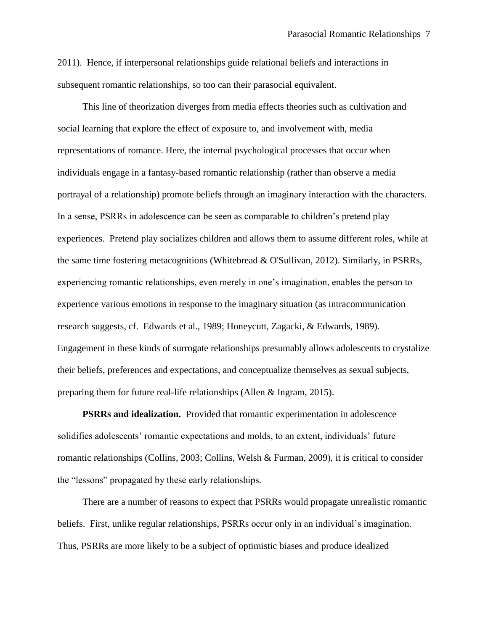2011). Hence, if interpersonal relationships guide relational beliefs and interactions in subsequent romantic relationships, so too can their parasocial equivalent.

This line of theorization diverges from media effects theories such as cultivation and social learning that explore the effect of exposure to, and involvement with, media representations of romance. Here, the internal psychological processes that occur when individuals engage in a fantasy-based romantic relationship (rather than observe a media portrayal of a relationship) promote beliefs through an imaginary interaction with the characters. In a sense, PSRRs in adolescence can be seen as comparable to children's pretend play experiences. Pretend play socializes children and allows them to assume different roles, while at the same time fostering metacognitions (Whitebread & O'Sullivan, 2012). Similarly, in PSRRs, experiencing romantic relationships, even merely in one's imagination, enables the person to experience various emotions in response to the imaginary situation (as intracommunication research suggests, cf. Edwards et al., 1989; Honeycutt, Zagacki, & Edwards, 1989). Engagement in these kinds of surrogate relationships presumably allows adolescents to crystalize their beliefs, preferences and expectations, and conceptualize themselves as sexual subjects, preparing them for future real-life relationships (Allen & Ingram, 2015).

**PSRRs and idealization.** Provided that romantic experimentation in adolescence solidifies adolescents' romantic expectations and molds, to an extent, individuals' future romantic relationships (Collins, 2003; Collins, Welsh & Furman, 2009), it is critical to consider the "lessons" propagated by these early relationships.

There are a number of reasons to expect that PSRRs would propagate unrealistic romantic beliefs. First, unlike regular relationships, PSRRs occur only in an individual's imagination. Thus, PSRRs are more likely to be a subject of optimistic biases and produce idealized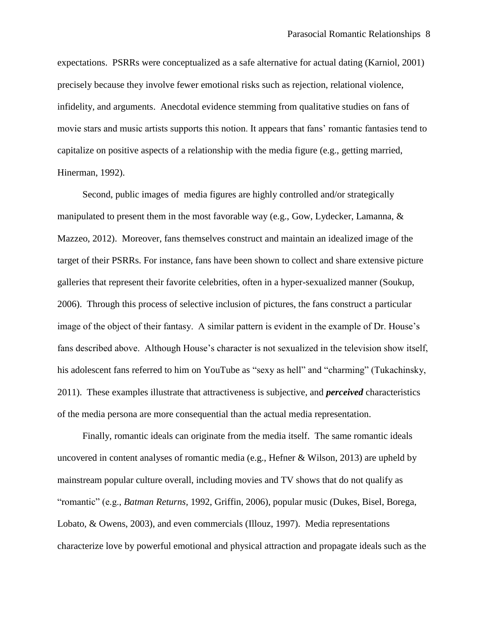expectations. PSRRs were conceptualized as a safe alternative for actual dating (Karniol, 2001) precisely because they involve fewer emotional risks such as rejection, relational violence, infidelity, and arguments. Anecdotal evidence stemming from qualitative studies on fans of movie stars and music artists supports this notion. It appears that fans' romantic fantasies tend to capitalize on positive aspects of a relationship with the media figure (e.g., getting married, Hinerman, 1992).

Second, public images of media figures are highly controlled and/or strategically manipulated to present them in the most favorable way (e.g., Gow, Lydecker, Lamanna, & Mazzeo, 2012). Moreover, fans themselves construct and maintain an idealized image of the target of their PSRRs. For instance, fans have been shown to collect and share extensive picture galleries that represent their favorite celebrities, often in a hyper-sexualized manner (Soukup, 2006). Through this process of selective inclusion of pictures, the fans construct a particular image of the object of their fantasy. A similar pattern is evident in the example of Dr. House's fans described above. Although House's character is not sexualized in the television show itself, his adolescent fans referred to him on YouTube as "sexy as hell" and "charming" (Tukachinsky, 2011). These examples illustrate that attractiveness is subjective, and *perceived* characteristics of the media persona are more consequential than the actual media representation.

Finally, romantic ideals can originate from the media itself. The same romantic ideals uncovered in content analyses of romantic media (e.g., Hefner & Wilson, 2013) are upheld by mainstream popular culture overall, including movies and TV shows that do not qualify as "romantic" (e.g., *Batman Returns,* 1992, Griffin, 2006), popular music (Dukes, Bisel, Borega, Lobato, & Owens, 2003), and even commercials (Illouz, 1997). Media representations characterize love by powerful emotional and physical attraction and propagate ideals such as the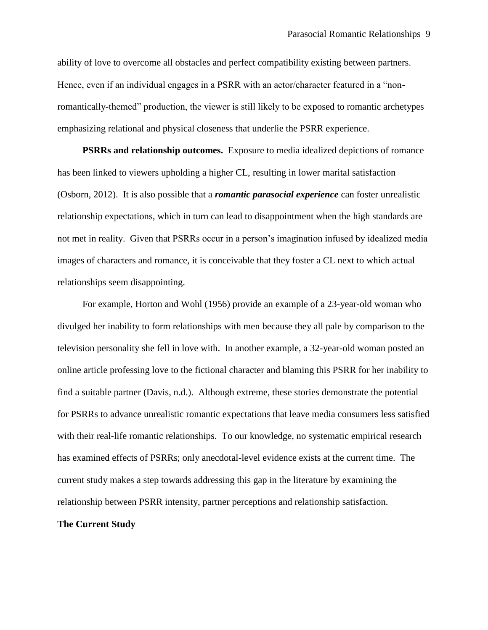ability of love to overcome all obstacles and perfect compatibility existing between partners. Hence, even if an individual engages in a PSRR with an actor/character featured in a "nonromantically-themed" production, the viewer is still likely to be exposed to romantic archetypes emphasizing relational and physical closeness that underlie the PSRR experience.

**PSRRs and relationship outcomes.** Exposure to media idealized depictions of romance has been linked to viewers upholding a higher CL, resulting in lower marital satisfaction (Osborn, 2012). It is also possible that a *romantic parasocial experience* can foster unrealistic relationship expectations, which in turn can lead to disappointment when the high standards are not met in reality. Given that PSRRs occur in a person's imagination infused by idealized media images of characters and romance, it is conceivable that they foster a CL next to which actual relationships seem disappointing.

For example, Horton and Wohl (1956) provide an example of a 23-year-old woman who divulged her inability to form relationships with men because they all pale by comparison to the television personality she fell in love with. In another example, a 32-year-old woman posted an online article professing love to the fictional character and blaming this PSRR for her inability to find a suitable partner (Davis, n.d.). Although extreme, these stories demonstrate the potential for PSRRs to advance unrealistic romantic expectations that leave media consumers less satisfied with their real-life romantic relationships. To our knowledge, no systematic empirical research has examined effects of PSRRs; only anecdotal-level evidence exists at the current time. The current study makes a step towards addressing this gap in the literature by examining the relationship between PSRR intensity, partner perceptions and relationship satisfaction.

## **The Current Study**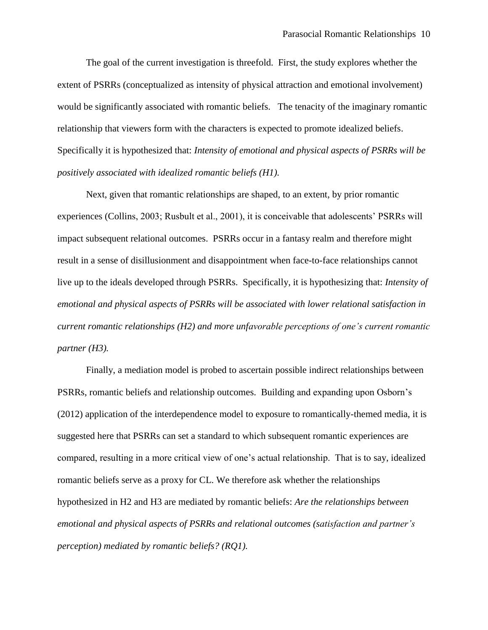The goal of the current investigation is threefold. First, the study explores whether the extent of PSRRs (conceptualized as intensity of physical attraction and emotional involvement) would be significantly associated with romantic beliefs. The tenacity of the imaginary romantic relationship that viewers form with the characters is expected to promote idealized beliefs. Specifically it is hypothesized that: *Intensity of emotional and physical aspects of PSRRs will be positively associated with idealized romantic beliefs (H1).*

Next, given that romantic relationships are shaped, to an extent, by prior romantic experiences (Collins, 2003; Rusbult et al., 2001), it is conceivable that adolescents' PSRRs will impact subsequent relational outcomes. PSRRs occur in a fantasy realm and therefore might result in a sense of disillusionment and disappointment when face-to-face relationships cannot live up to the ideals developed through PSRRs. Specifically, it is hypothesizing that: *Intensity of emotional and physical aspects of PSRRs will be associated with lower relational satisfaction in current romantic relationships (H2) and more unfavorable perceptions of one's current romantic partner (H3).*

Finally, a mediation model is probed to ascertain possible indirect relationships between PSRRs, romantic beliefs and relationship outcomes. Building and expanding upon Osborn's (2012) application of the interdependence model to exposure to romantically-themed media, it is suggested here that PSRRs can set a standard to which subsequent romantic experiences are compared, resulting in a more critical view of one's actual relationship. That is to say, idealized romantic beliefs serve as a proxy for CL. We therefore ask whether the relationships hypothesized in H2 and H3 are mediated by romantic beliefs: *Are the relationships between emotional and physical aspects of PSRRs and relational outcomes (satisfaction and partner's perception) mediated by romantic beliefs? (RQ1).*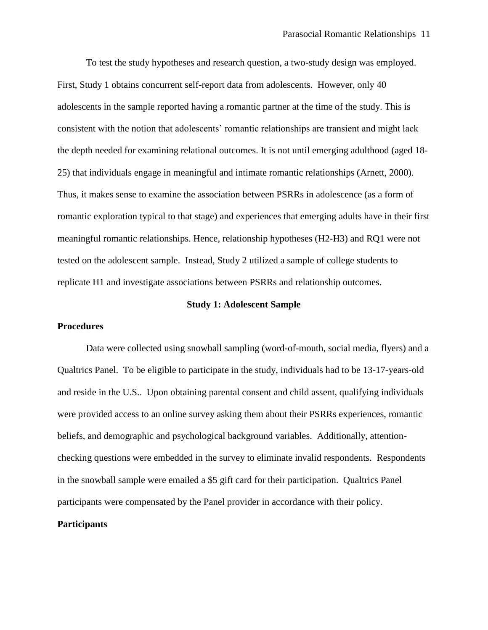To test the study hypotheses and research question, a two-study design was employed. First, Study 1 obtains concurrent self-report data from adolescents. However, only 40 adolescents in the sample reported having a romantic partner at the time of the study. This is consistent with the notion that adolescents' romantic relationships are transient and might lack the depth needed for examining relational outcomes. It is not until emerging adulthood (aged 18- 25) that individuals engage in meaningful and intimate romantic relationships (Arnett, 2000). Thus, it makes sense to examine the association between PSRRs in adolescence (as a form of romantic exploration typical to that stage) and experiences that emerging adults have in their first meaningful romantic relationships. Hence, relationship hypotheses (H2-H3) and RQ1 were not tested on the adolescent sample. Instead, Study 2 utilized a sample of college students to replicate H1 and investigate associations between PSRRs and relationship outcomes.

#### **Study 1: Adolescent Sample**

## **Procedures**

Data were collected using snowball sampling (word-of-mouth, social media, flyers) and a Qualtrics Panel. To be eligible to participate in the study, individuals had to be 13-17-years-old and reside in the U.S.. Upon obtaining parental consent and child assent, qualifying individuals were provided access to an online survey asking them about their PSRRs experiences, romantic beliefs, and demographic and psychological background variables. Additionally, attentionchecking questions were embedded in the survey to eliminate invalid respondents. Respondents in the snowball sample were emailed a \$5 gift card for their participation. Qualtrics Panel participants were compensated by the Panel provider in accordance with their policy.

## **Participants**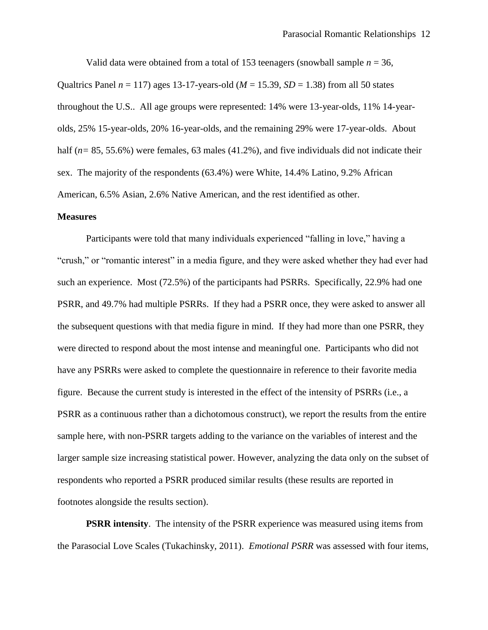Valid data were obtained from a total of 153 teenagers (snowball sample *n* = 36, Qualtrics Panel  $n = 117$ ) ages 13-17-years-old ( $M = 15.39$ ,  $SD = 1.38$ ) from all 50 states throughout the U.S.. All age groups were represented: 14% were 13-year-olds, 11% 14-yearolds, 25% 15-year-olds, 20% 16-year-olds, and the remaining 29% were 17-year-olds. About half ( $n= 85, 55.6\%$ ) were females, 63 males (41.2%), and five individuals did not indicate their sex. The majority of the respondents (63.4%) were White, 14.4% Latino, 9.2% African American, 6.5% Asian, 2.6% Native American, and the rest identified as other.

## **Measures**

Participants were told that many individuals experienced "falling in love," having a "crush," or "romantic interest" in a media figure, and they were asked whether they had ever had such an experience. Most (72.5%) of the participants had PSRRs. Specifically, 22.9% had one PSRR, and 49.7% had multiple PSRRs. If they had a PSRR once, they were asked to answer all the subsequent questions with that media figure in mind. If they had more than one PSRR, they were directed to respond about the most intense and meaningful one. Participants who did not have any PSRRs were asked to complete the questionnaire in reference to their favorite media figure. Because the current study is interested in the effect of the intensity of PSRRs (i.e., a PSRR as a continuous rather than a dichotomous construct), we report the results from the entire sample here, with non-PSRR targets adding to the variance on the variables of interest and the larger sample size increasing statistical power. However, analyzing the data only on the subset of respondents who reported a PSRR produced similar results (these results are reported in footnotes alongside the results section).

**PSRR intensity**. The intensity of the PSRR experience was measured using items from the Parasocial Love Scales (Tukachinsky, 2011). *Emotional PSRR* was assessed with four items,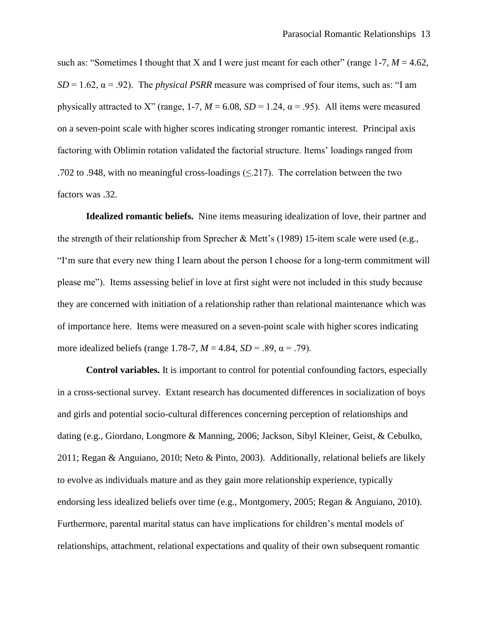such as: "Sometimes I thought that X and I were just meant for each other" (range  $1-7$ ,  $M = 4.62$ ,  $SD = 1.62$ ,  $\alpha = .92$ ). The *physical PSRR* measure was comprised of four items, such as: "I am physically attracted to X" (range, 1-7,  $M = 6.08$ ,  $SD = 1.24$ ,  $\alpha = .95$ ). All items were measured on a seven-point scale with higher scores indicating stronger romantic interest. Principal axis factoring with Oblimin rotation validated the factorial structure. Items' loadings ranged from .702 to .948, with no meaningful cross-loadings  $(\leq 217)$ . The correlation between the two factors was .32.

**Idealized romantic beliefs.** Nine items measuring idealization of love, their partner and the strength of their relationship from Sprecher & Mett's (1989) 15-item scale were used (e.g., "I'm sure that every new thing I learn about the person I choose for a long-term commitment will please me"). Items assessing belief in love at first sight were not included in this study because they are concerned with initiation of a relationship rather than relational maintenance which was of importance here. Items were measured on a seven-point scale with higher scores indicating more idealized beliefs (range 1.78-7,  $M = 4.84$ ,  $SD = .89$ ,  $\alpha = .79$ ).

**Control variables.** It is important to control for potential confounding factors, especially in a cross-sectional survey. Extant research has documented differences in socialization of boys and girls and potential socio-cultural differences concerning perception of relationships and dating (e.g., Giordano, Longmore & Manning, 2006; Jackson, Sibyl Kleiner, Geist, & Cebulko, 2011; Regan & Anguiano, 2010; Neto & Pinto, 2003). Additionally, relational beliefs are likely to evolve as individuals mature and as they gain more relationship experience, typically endorsing less idealized beliefs over time (e.g., Montgomery, 2005; Regan & Anguiano, 2010). Furthermore, parental marital status can have implications for children's mental models of relationships, attachment, relational expectations and quality of their own subsequent romantic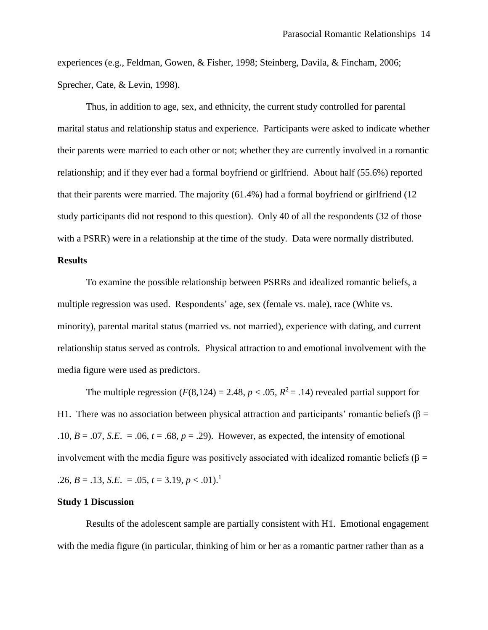experiences (e.g., Feldman, Gowen, & Fisher, 1998; Steinberg, Davila, & Fincham, 2006; Sprecher, Cate, & Levin, 1998).

Thus, in addition to age, sex, and ethnicity, the current study controlled for parental marital status and relationship status and experience. Participants were asked to indicate whether their parents were married to each other or not; whether they are currently involved in a romantic relationship; and if they ever had a formal boyfriend or girlfriend. About half (55.6%) reported that their parents were married. The majority (61.4%) had a formal boyfriend or girlfriend (12 study participants did not respond to this question). Only 40 of all the respondents (32 of those with a PSRR) were in a relationship at the time of the study. Data were normally distributed.

## **Results**

To examine the possible relationship between PSRRs and idealized romantic beliefs, a multiple regression was used. Respondents' age, sex (female vs. male), race (White vs. minority), parental marital status (married vs. not married), experience with dating, and current relationship status served as controls. Physical attraction to and emotional involvement with the media figure were used as predictors.

The multiple regression  $(F(8, 124) = 2.48, p < .05, R^2 = .14)$  revealed partial support for H1. There was no association between physical attraction and participants' romantic beliefs ( $\beta$  = .10,  $B = .07$ , *S.E.* = .06,  $t = .68$ ,  $p = .29$ ). However, as expected, the intensity of emotional involvement with the media figure was positively associated with idealized romantic beliefs ( $\beta$  = .26,  $B = .13$ , *S.E.* = .05,  $t = 3.19$ ,  $p < .01$ .<sup>1</sup>

## **Study 1 Discussion**

Results of the adolescent sample are partially consistent with H1. Emotional engagement with the media figure (in particular, thinking of him or her as a romantic partner rather than as a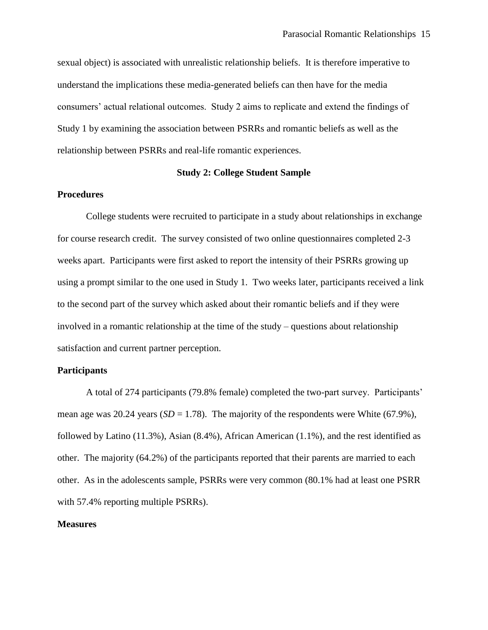sexual object) is associated with unrealistic relationship beliefs. It is therefore imperative to understand the implications these media-generated beliefs can then have for the media consumers' actual relational outcomes. Study 2 aims to replicate and extend the findings of Study 1 by examining the association between PSRRs and romantic beliefs as well as the relationship between PSRRs and real-life romantic experiences.

## **Study 2: College Student Sample**

## **Procedures**

College students were recruited to participate in a study about relationships in exchange for course research credit. The survey consisted of two online questionnaires completed 2-3 weeks apart. Participants were first asked to report the intensity of their PSRRs growing up using a prompt similar to the one used in Study 1. Two weeks later, participants received a link to the second part of the survey which asked about their romantic beliefs and if they were involved in a romantic relationship at the time of the study – questions about relationship satisfaction and current partner perception.

## **Participants**

A total of 274 participants (79.8% female) completed the two-part survey. Participants' mean age was 20.24 years  $(SD = 1.78)$ . The majority of the respondents were White (67.9%), followed by Latino (11.3%), Asian (8.4%), African American (1.1%), and the rest identified as other. The majority (64.2%) of the participants reported that their parents are married to each other. As in the adolescents sample, PSRRs were very common (80.1% had at least one PSRR with 57.4% reporting multiple PSRRs).

## **Measures**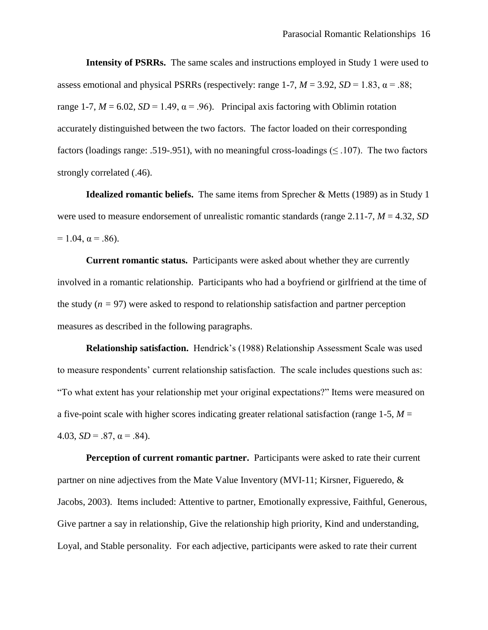**Intensity of PSRRs.** The same scales and instructions employed in Study 1 were used to assess emotional and physical PSRRs (respectively: range 1-7,  $M = 3.92$ ,  $SD = 1.83$ ,  $\alpha = .88$ ; range 1-7,  $M = 6.02$ ,  $SD = 1.49$ ,  $\alpha = .96$ ). Principal axis factoring with Oblimin rotation accurately distinguished between the two factors. The factor loaded on their corresponding factors (loadings range: .519-.951), with no meaningful cross-loadings ( $\leq$  .107). The two factors strongly correlated (.46).

**Idealized romantic beliefs.** The same items from Sprecher & Metts (1989) as in Study 1 were used to measure endorsement of unrealistic romantic standards (range 2.11-7, *M* = 4.32, *SD*   $= 1.04$ ,  $\alpha = .86$ ).

**Current romantic status.** Participants were asked about whether they are currently involved in a romantic relationship. Participants who had a boyfriend or girlfriend at the time of the study  $(n = 97)$  were asked to respond to relationship satisfaction and partner perception measures as described in the following paragraphs.

**Relationship satisfaction.** Hendrick's (1988) Relationship Assessment Scale was used to measure respondents' current relationship satisfaction. The scale includes questions such as: "To what extent has your relationship met your original expectations?" Items were measured on a five-point scale with higher scores indicating greater relational satisfaction (range 1-5, *M* = 4.03,  $SD = .87$ ,  $\alpha = .84$ ).

**Perception of current romantic partner.** Participants were asked to rate their current partner on nine adjectives from the Mate Value Inventory (MVI-11; Kirsner, Figueredo, & Jacobs, 2003). Items included: Attentive to partner, Emotionally expressive, Faithful, Generous, Give partner a say in relationship, Give the relationship high priority, Kind and understanding, Loyal, and Stable personality. For each adjective, participants were asked to rate their current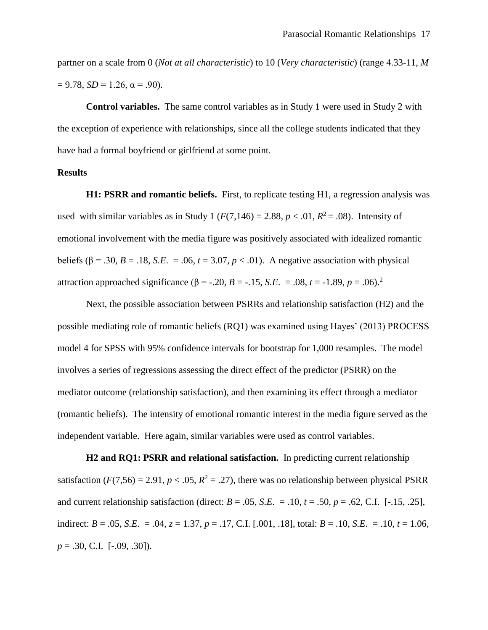partner on a scale from 0 (*Not at all characteristic*) to 10 (*Very characteristic*) (range 4.33-11, *M*   $= 9.78$ ,  $SD = 1.26$ ,  $\alpha = .90$ ).

**Control variables.** The same control variables as in Study 1 were used in Study 2 with the exception of experience with relationships, since all the college students indicated that they have had a formal boyfriend or girlfriend at some point.

## **Results**

**H1: PSRR and romantic beliefs.** First, to replicate testing H1, a regression analysis was used with similar variables as in Study 1 ( $F(7,146) = 2.88$ ,  $p < .01$ ,  $R^2 = .08$ ). Intensity of emotional involvement with the media figure was positively associated with idealized romantic beliefs ( $\beta$  = .30, *B* = .18, *S.E.* = .06, *t* = 3.07, *p* < .01). A negative association with physical attraction approached significance (β = -.20, *B* = -.15, *S.E*. = .08, *t* = -1.89, *p* = .06).<sup>2</sup>

Next, the possible association between PSRRs and relationship satisfaction (H2) and the possible mediating role of romantic beliefs (RQ1) was examined using Hayes' (2013) PROCESS model 4 for SPSS with 95% confidence intervals for bootstrap for 1,000 resamples. The model involves a series of regressions assessing the direct effect of the predictor (PSRR) on the mediator outcome (relationship satisfaction), and then examining its effect through a mediator (romantic beliefs). The intensity of emotional romantic interest in the media figure served as the independent variable. Here again, similar variables were used as control variables.

**H2 and RQ1: PSRR and relational satisfaction.** In predicting current relationship satisfaction ( $F(7,56) = 2.91$ ,  $p < .05$ ,  $R^2 = .27$ ), there was no relationship between physical PSRR and current relationship satisfaction (direct:  $B = .05$ ,  $S.E. = .10$ ,  $t = .50$ ,  $p = .62$ , C.I. [-.15, .25], indirect:  $B = .05$ , *S.E.* = .04,  $z = 1.37$ ,  $p = .17$ , C.I. [.001, .18], total:  $B = .10$ , *S.E.* = .10,  $t = 1.06$ , *p* = .30, C.I. [-.09, .30]).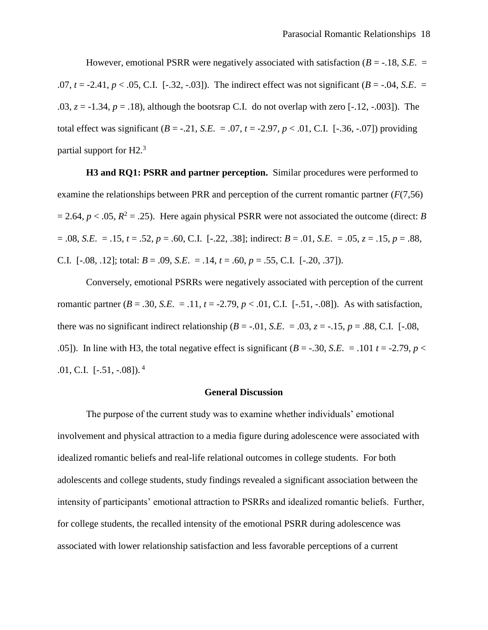However, emotional PSRR were negatively associated with satisfaction  $(B = -18, S.E. =$ .07,  $t = -2.41$ ,  $p < .05$ , C.I.  $[-.32, -.03]$ . The indirect effect was not significant ( $B = -.04$ , *S.E.* = .03,  $z = -1.34$ ,  $p = .18$ ), although the bootsrap C.I. do not overlap with zero  $[-.12, -.003]$ ). The total effect was significant  $(B = -0.21, S.E. = 0.07, t = -2.97, p < 0.01, C.I.$  [-.36, -.07]) providing partial support for H2.<sup>3</sup>

**H3 and RQ1: PSRR and partner perception.** Similar procedures were performed to examine the relationships between PRR and perception of the current romantic partner (*F*(7,56)  $= 2.64, p < .05, R<sup>2</sup> = .25$ ). Here again physical PSRR were not associated the outcome (direct: *B* = .08, *S.E*. = .15, *t* = .52, *p* = .60, C.I. [-.22, .38]; indirect: *B* = .01, *S.E*. = .05, *z* = .15, *p* = .88, C.I.  $[-.08, .12]$ ; total:  $B = .09$ , *S.E.* = .14,  $t = .60$ ,  $p = .55$ , C.I.  $[-.20, .37]$ ).

Conversely, emotional PSRRs were negatively associated with perception of the current romantic partner ( $B = .30$ ,  $S.E. = .11$ ,  $t = -2.79$ ,  $p < .01$ , C.I. [ $-.51$ ,  $-.08$ ]). As with satisfaction, there was no significant indirect relationship ( $B = -0.01$ ,  $S.E. = 0.03$ ,  $z = -0.15$ ,  $p = 0.88$ , C.I. [-0.08,] .05]). In line with H3, the total negative effect is significant  $(B = -.30, S.E. = .101 t = -2.79, p <$ .01, C.I.  $[-.51, -.08]$ ).<sup>4</sup>

## **General Discussion**

The purpose of the current study was to examine whether individuals' emotional involvement and physical attraction to a media figure during adolescence were associated with idealized romantic beliefs and real-life relational outcomes in college students. For both adolescents and college students, study findings revealed a significant association between the intensity of participants' emotional attraction to PSRRs and idealized romantic beliefs. Further, for college students, the recalled intensity of the emotional PSRR during adolescence was associated with lower relationship satisfaction and less favorable perceptions of a current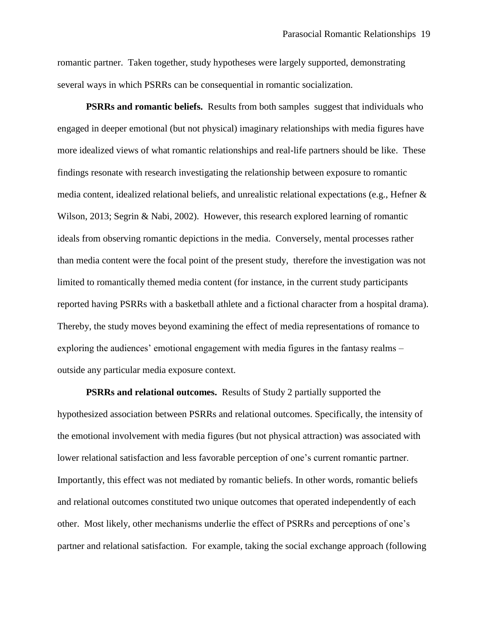romantic partner. Taken together, study hypotheses were largely supported, demonstrating several ways in which PSRRs can be consequential in romantic socialization.

**PSRRs and romantic beliefs.** Results from both samples suggest that individuals who engaged in deeper emotional (but not physical) imaginary relationships with media figures have more idealized views of what romantic relationships and real-life partners should be like. These findings resonate with research investigating the relationship between exposure to romantic media content, idealized relational beliefs, and unrealistic relational expectations (e.g., Hefner & Wilson, 2013; Segrin & Nabi, 2002). However, this research explored learning of romantic ideals from observing romantic depictions in the media. Conversely, mental processes rather than media content were the focal point of the present study, therefore the investigation was not limited to romantically themed media content (for instance, in the current study participants reported having PSRRs with a basketball athlete and a fictional character from a hospital drama). Thereby, the study moves beyond examining the effect of media representations of romance to exploring the audiences' emotional engagement with media figures in the fantasy realms – outside any particular media exposure context.

**PSRRs and relational outcomes.** Results of Study 2 partially supported the hypothesized association between PSRRs and relational outcomes. Specifically, the intensity of the emotional involvement with media figures (but not physical attraction) was associated with lower relational satisfaction and less favorable perception of one's current romantic partner. Importantly, this effect was not mediated by romantic beliefs. In other words, romantic beliefs and relational outcomes constituted two unique outcomes that operated independently of each other. Most likely, other mechanisms underlie the effect of PSRRs and perceptions of one's partner and relational satisfaction. For example, taking the social exchange approach (following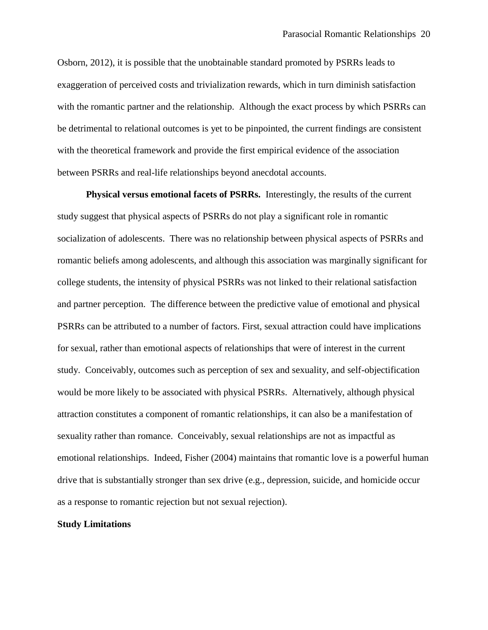Osborn, 2012), it is possible that the unobtainable standard promoted by PSRRs leads to exaggeration of perceived costs and trivialization rewards, which in turn diminish satisfaction with the romantic partner and the relationship. Although the exact process by which PSRRs can be detrimental to relational outcomes is yet to be pinpointed, the current findings are consistent with the theoretical framework and provide the first empirical evidence of the association between PSRRs and real-life relationships beyond anecdotal accounts.

**Physical versus emotional facets of PSRRs.** Interestingly, the results of the current study suggest that physical aspects of PSRRs do not play a significant role in romantic socialization of adolescents. There was no relationship between physical aspects of PSRRs and romantic beliefs among adolescents, and although this association was marginally significant for college students, the intensity of physical PSRRs was not linked to their relational satisfaction and partner perception. The difference between the predictive value of emotional and physical PSRRs can be attributed to a number of factors. First, sexual attraction could have implications for sexual, rather than emotional aspects of relationships that were of interest in the current study. Conceivably, outcomes such as perception of sex and sexuality, and self-objectification would be more likely to be associated with physical PSRRs. Alternatively, although physical attraction constitutes a component of romantic relationships, it can also be a manifestation of sexuality rather than romance. Conceivably, sexual relationships are not as impactful as emotional relationships. Indeed, Fisher (2004) maintains that romantic love is a powerful human drive that is substantially stronger than sex drive (e.g., depression, suicide, and homicide occur as a response to romantic rejection but not sexual rejection).

## **Study Limitations**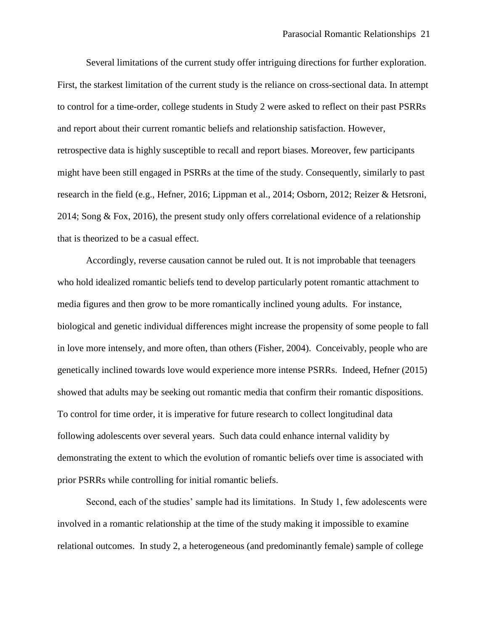Several limitations of the current study offer intriguing directions for further exploration. First, the starkest limitation of the current study is the reliance on cross-sectional data. In attempt to control for a time-order, college students in Study 2 were asked to reflect on their past PSRRs and report about their current romantic beliefs and relationship satisfaction. However, retrospective data is highly susceptible to recall and report biases. Moreover, few participants might have been still engaged in PSRRs at the time of the study. Consequently, similarly to past research in the field (e.g., Hefner, 2016; Lippman et al., 2014; Osborn, 2012; Reizer & Hetsroni, 2014; Song & Fox, 2016), the present study only offers correlational evidence of a relationship that is theorized to be a casual effect.

Accordingly, reverse causation cannot be ruled out. It is not improbable that teenagers who hold idealized romantic beliefs tend to develop particularly potent romantic attachment to media figures and then grow to be more romantically inclined young adults. For instance, biological and genetic individual differences might increase the propensity of some people to fall in love more intensely, and more often, than others (Fisher, 2004). Conceivably, people who are genetically inclined towards love would experience more intense PSRRs. Indeed, Hefner (2015) showed that adults may be seeking out romantic media that confirm their romantic dispositions. To control for time order, it is imperative for future research to collect longitudinal data following adolescents over several years. Such data could enhance internal validity by demonstrating the extent to which the evolution of romantic beliefs over time is associated with prior PSRRs while controlling for initial romantic beliefs.

Second, each of the studies' sample had its limitations. In Study 1, few adolescents were involved in a romantic relationship at the time of the study making it impossible to examine relational outcomes. In study 2, a heterogeneous (and predominantly female) sample of college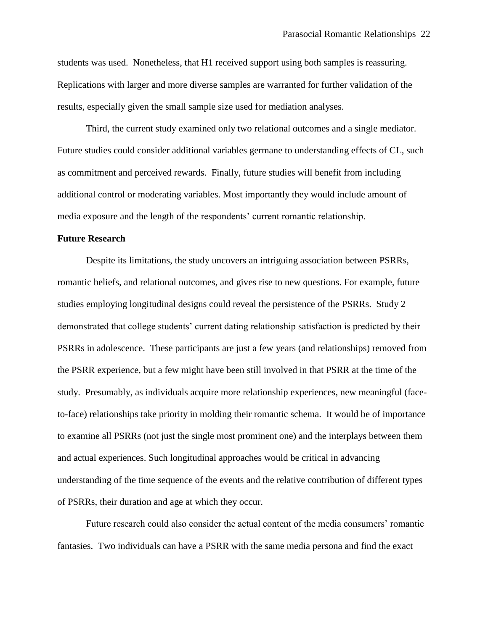students was used. Nonetheless, that H1 received support using both samples is reassuring. Replications with larger and more diverse samples are warranted for further validation of the results, especially given the small sample size used for mediation analyses.

Third, the current study examined only two relational outcomes and a single mediator. Future studies could consider additional variables germane to understanding effects of CL, such as commitment and perceived rewards. Finally, future studies will benefit from including additional control or moderating variables. Most importantly they would include amount of media exposure and the length of the respondents' current romantic relationship.

## **Future Research**

Despite its limitations, the study uncovers an intriguing association between PSRRs, romantic beliefs, and relational outcomes, and gives rise to new questions. For example, future studies employing longitudinal designs could reveal the persistence of the PSRRs. Study 2 demonstrated that college students' current dating relationship satisfaction is predicted by their PSRRs in adolescence. These participants are just a few years (and relationships) removed from the PSRR experience, but a few might have been still involved in that PSRR at the time of the study. Presumably, as individuals acquire more relationship experiences, new meaningful (faceto-face) relationships take priority in molding their romantic schema. It would be of importance to examine all PSRRs (not just the single most prominent one) and the interplays between them and actual experiences. Such longitudinal approaches would be critical in advancing understanding of the time sequence of the events and the relative contribution of different types of PSRRs, their duration and age at which they occur.

Future research could also consider the actual content of the media consumers' romantic fantasies. Two individuals can have a PSRR with the same media persona and find the exact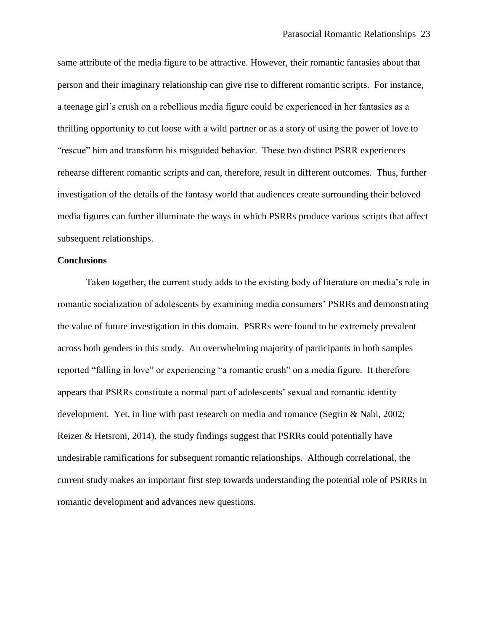same attribute of the media figure to be attractive. However, their romantic fantasies about that person and their imaginary relationship can give rise to different romantic scripts. For instance, a teenage girl's crush on a rebellious media figure could be experienced in her fantasies as a thrilling opportunity to cut loose with a wild partner or as a story of using the power of love to "rescue" him and transform his misguided behavior. These two distinct PSRR experiences rehearse different romantic scripts and can, therefore, result in different outcomes. Thus, further investigation of the details of the fantasy world that audiences create surrounding their beloved media figures can further illuminate the ways in which PSRRs produce various scripts that affect subsequent relationships.

## **Conclusions**

Taken together, the current study adds to the existing body of literature on media's role in romantic socialization of adolescents by examining media consumers' PSRRs and demonstrating the value of future investigation in this domain. PSRRs were found to be extremely prevalent across both genders in this study. An overwhelming majority of participants in both samples reported "falling in love" or experiencing "a romantic crush" on a media figure. It therefore appears that PSRRs constitute a normal part of adolescents' sexual and romantic identity development. Yet, in line with past research on media and romance (Segrin & Nabi, 2002; Reizer & Hetsroni, 2014), the study findings suggest that PSRRs could potentially have undesirable ramifications for subsequent romantic relationships. Although correlational, the current study makes an important first step towards understanding the potential role of PSRRs in romantic development and advances new questions.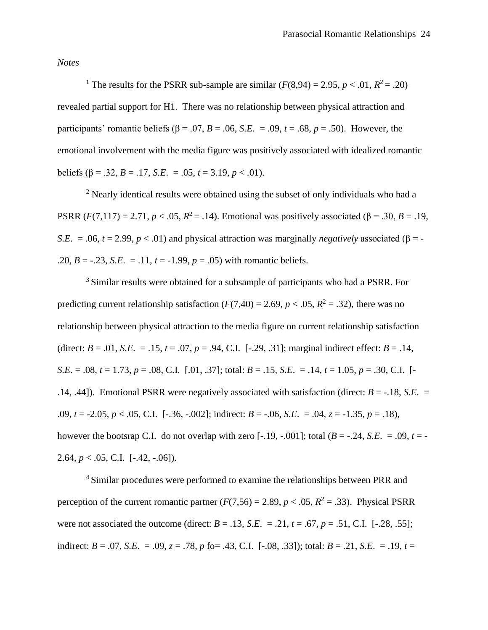*Notes*

<sup>1</sup> The results for the PSRR sub-sample are similar  $(F(8,94) = 2.95, p < .01, R^2 = .20)$ revealed partial support for H1. There was no relationship between physical attraction and participants' romantic beliefs ( $\beta$  = .07, *B* = .06, *S.E.* = .09, *t* = .68, *p* = .50). However, the emotional involvement with the media figure was positively associated with idealized romantic beliefs ( $\beta$  = .32, *B* = .17, *S.E.* = .05, *t* = 3.19, *p* < .01).

<sup>2</sup> Nearly identical results were obtained using the subset of only individuals who had a PSRR (*F*(7,117) = 2.71, *p* < .05,  $R^2$  = .14). Emotional was positively associated (β = .30, *B* = .19, *S.E.* = .06,  $t = 2.99$ ,  $p < .01$ ) and physical attraction was marginally *negatively* associated ( $\beta$  = -.20,  $B = -.23$ , *S.E.* = .11,  $t = -1.99$ ,  $p = .05$ ) with romantic beliefs.

<sup>3</sup> Similar results were obtained for a subsample of participants who had a PSRR. For predicting current relationship satisfaction  $(F(7,40) = 2.69, p < .05, R^2 = .32)$ , there was no relationship between physical attraction to the media figure on current relationship satisfaction (direct:  $B = .01$ , *S.E.* = .15,  $t = .07$ ,  $p = .94$ , C.I. [-.29, .31]; marginal indirect effect:  $B = .14$ , *S.E.* = .08,  $t = 1.73$ ,  $p = .08$ , C.I. [.01, .37]; total:  $B = .15$ , *S.E.* = .14,  $t = 1.05$ ,  $p = .30$ , C.I. [-.14, .44]). Emotional PSRR were negatively associated with satisfaction (direct: *B* = -.18, *S.E*. = .09, *t* = -2.05, *p* < .05, C.I. [-.36, -.002]; indirect: *B* = -.06, *S.E*. = .04, *z* = -1.35, *p* = .18), however the bootsrap C.I. do not overlap with zero  $[-.19, -.001]$ ; total  $(B = -.24, S.E. = .09, t = -$ 2.64,  $p < .05$ , C.I. [-.42, -.06]).

<sup>4</sup> Similar procedures were performed to examine the relationships between PRR and perception of the current romantic partner  $(F(7,56) = 2.89, p < .05, R^2 = .33)$ . Physical PSRR were not associated the outcome (direct:  $B = .13$ ,  $S.E. = .21$ ,  $t = .67$ ,  $p = .51$ , C.I. [-.28, .55]; indirect:  $B = .07$ , *S.E.* =  $.09$ ,  $z = .78$ ,  $p$  fo= .43, C.I. [-.08, .33]); total:  $B = .21$ , *S.E.* = .19,  $t =$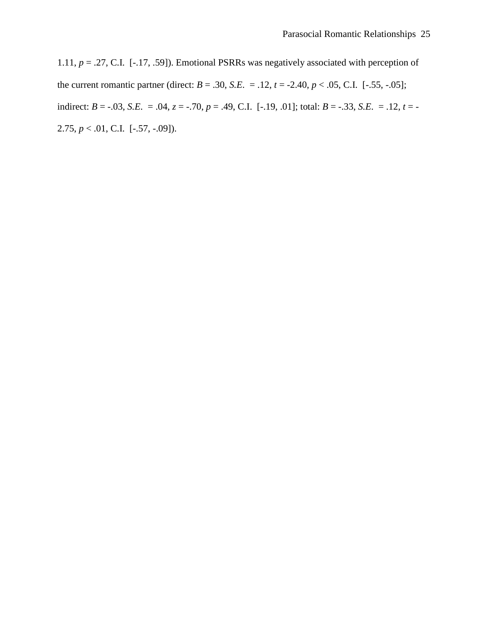1.11, *p* = .27, C.I. [-.17, .59]). Emotional PSRRs was negatively associated with perception of the current romantic partner (direct:  $B = .30$ , *S.E.* = .12,  $t = -2.40$ ,  $p < .05$ , C.I. [-.55, -.05]; indirect:  $B = -.03$ , *S.E.* = .04,  $z = .70$ ,  $p = .49$ , C.I. [-.19, .01]; total:  $B = -.33$ , *S.E.* = .12,  $t = -$ 2.75,  $p < .01$ , C.I. [-.57, -.09]).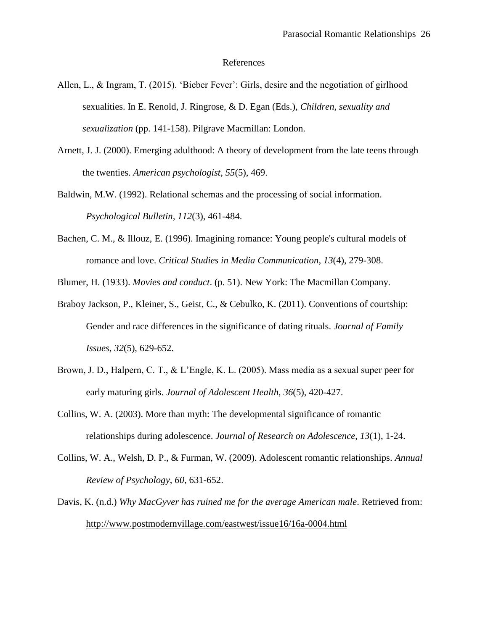#### References

- Allen, L., & Ingram, T. (2015). 'Bieber Fever': Girls, desire and the negotiation of girlhood sexualities. In E. Renold, J. Ringrose, & D. Egan (Eds.), *Children, sexuality and sexualization* (pp. 141-158). Pilgrave Macmillan: London.
- Arnett, J. J. (2000). Emerging adulthood: A theory of development from the late teens through the twenties. *American psychologist*, *55*(5), 469.
- Baldwin, M.W. (1992). Relational schemas and the processing of social information. *Psychological Bulletin, 112*(3), 461-484.
- Bachen, C. M., & Illouz, E. (1996). Imagining romance: Young people's cultural models of romance and love. *Critical Studies in Media Communication*, *13*(4), 279-308.

Blumer, H. (1933). *Movies and conduct*. (p. 51). New York: The Macmillan Company.

- Braboy Jackson, P., Kleiner, S., Geist, C., & Cebulko, K. (2011). Conventions of courtship: Gender and race differences in the significance of dating rituals. *Journal of Family Issues*, *32*(5), 629-652.
- Brown, J. D., Halpern, C. T., & L'Engle, K. L. (2005). Mass media as a sexual super peer for early maturing girls. *Journal of Adolescent Health*, *36*(5), 420-427.
- Collins, W. A. (2003). More than myth: The developmental significance of romantic relationships during adolescence. *Journal of Research on Adolescence*, *13*(1), 1-24.
- Collins, W. A., Welsh, D. P., & Furman, W. (2009). Adolescent romantic relationships. *Annual Review of Psychology*, *60*, 631-652.
- Davis, K. (n.d.) *Why MacGyver has ruined me for the average American male*. Retrieved from: <http://www.postmodernvillage.com/eastwest/issue16/16a-0004.html>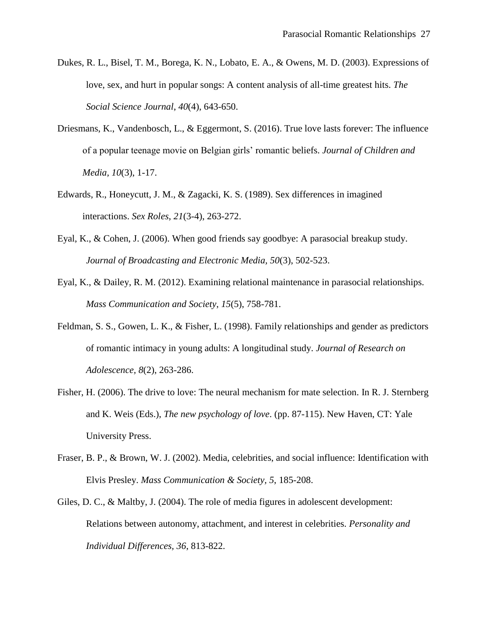- Dukes, R. L., Bisel, T. M., Borega, K. N., Lobato, E. A., & Owens, M. D. (2003). Expressions of love, sex, and hurt in popular songs: A content analysis of all-time greatest hits. *The Social Science Journal*, *40*(4), 643-650.
- Driesmans, K., Vandenbosch, L., & Eggermont, S. (2016). True love lasts forever: The influence of a popular teenage movie on Belgian girls' romantic beliefs. *Journal of Children and Media, 10*(3), 1-17.
- Edwards, R., Honeycutt, J. M., & Zagacki, K. S. (1989). Sex differences in imagined interactions. *Sex Roles*, *21*(3-4), 263-272.
- Eyal, K., & Cohen, J. (2006). When good friends say goodbye: A parasocial breakup study. *Journal of Broadcasting and Electronic Media, 50*(3), 502-523.
- Eyal, K., & Dailey, R. M. (2012). Examining relational maintenance in parasocial relationships. *Mass Communication and Society*, *15*(5), 758-781.
- Feldman, S. S., Gowen, L. K., & Fisher, L. (1998). Family relationships and gender as predictors of romantic intimacy in young adults: A longitudinal study. *Journal of Research on Adolescence, 8*(2), 263-286.
- Fisher, H. (2006). The drive to love: The neural mechanism for mate selection. In R. J. Sternberg and K. Weis (Eds.), *The new psychology of love*. (pp. 87-115). New Haven, CT: Yale University Press.
- Fraser, B. P., & Brown, W. J. (2002). Media, celebrities, and social influence: Identification with Elvis Presley. *Mass Communication & Society, 5*, 185-208.
- Giles, D. C., & Maltby, J. (2004). The role of media figures in adolescent development: Relations between autonomy, attachment, and interest in celebrities. *Personality and Individual Differences, 36*, 813-822.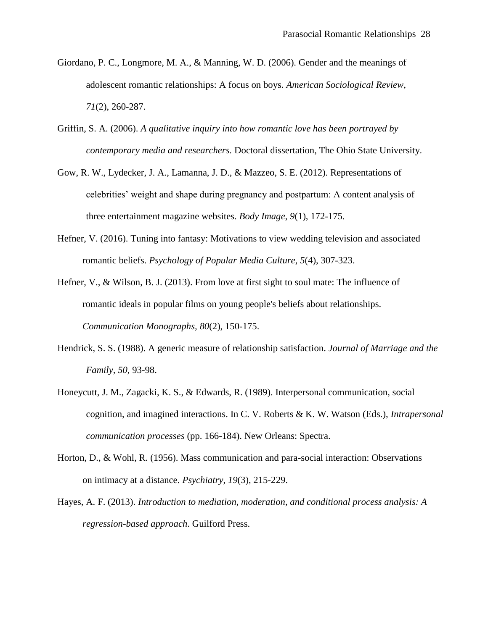- Giordano, P. C., Longmore, M. A., & Manning, W. D. (2006). Gender and the meanings of adolescent romantic relationships: A focus on boys. *American Sociological Review, 71*(2), 260-287.
- Griffin, S. A. (2006). *A qualitative inquiry into how romantic love has been portrayed by contemporary media and researchers.* Doctoral dissertation, The Ohio State University.
- Gow, R. W., Lydecker, J. A., Lamanna, J. D., & Mazzeo, S. E. (2012). Representations of celebrities' weight and shape during pregnancy and postpartum: A content analysis of three entertainment magazine websites. *Body Image*, *9*(1), 172-175.
- Hefner, V. (2016). Tuning into fantasy: Motivations to view wedding television and associated romantic beliefs. *Psychology of Popular Media Culture*, *5*(4), 307-323.

Hefner, V., & Wilson, B. J. (2013). From love at first sight to soul mate: The influence of romantic ideals in popular films on young people's beliefs about relationships. *Communication Monographs, 80*(2), 150-175.

- Hendrick, S. S. (1988). A generic measure of relationship satisfaction. *Journal of Marriage and the Family, 50,* 93-98.
- Honeycutt, J. M., Zagacki, K. S., & Edwards, R. (1989). Interpersonal communication, social cognition, and imagined interactions. In C. V. Roberts & K. W. Watson (Eds.), *Intrapersonal communication processes* (pp. 166-184). New Orleans: Spectra.
- Horton, D., & Wohl, R. (1956). Mass communication and para-social interaction: Observations on intimacy at a distance. *Psychiatry*, *19*(3), 215-229.
- Hayes, A. F. (2013). *Introduction to mediation, moderation, and conditional process analysis: A regression-based approach*. Guilford Press.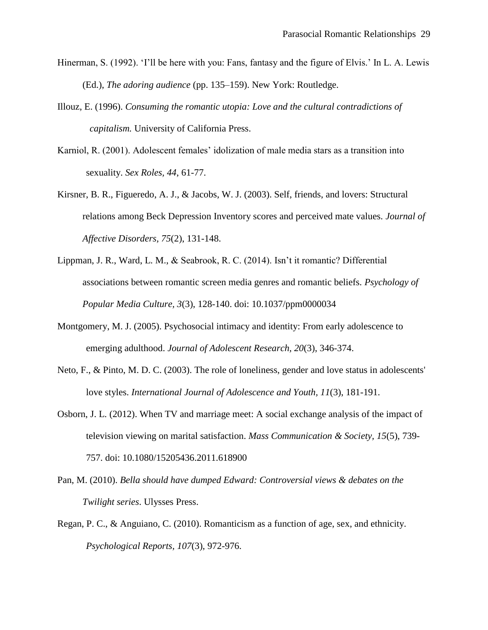- Hinerman, S. (1992). 'I'll be here with you: Fans, fantasy and the figure of Elvis.' In L. A. Lewis (Ed.), *The adoring audience* (pp. 135–159). New York: Routledge.
- Illouz, E. (1996). *Consuming the romantic utopia: Love and the cultural contradictions of capitalism.* University of California Press.
- Karniol, R. (2001). Adolescent females' idolization of male media stars as a transition into sexuality. *Sex Roles, 44*, 61-77.
- Kirsner, B. R., Figueredo, A. J., & Jacobs, W. J. (2003). Self, friends, and lovers: Structural relations among Beck Depression Inventory scores and perceived mate values. *Journal of Affective Disorders, 75*(2), 131-148.
- Lippman, J. R., Ward, L. M., & Seabrook, R. C. (2014). Isn't it romantic? Differential associations between romantic screen media genres and romantic beliefs. *Psychology of Popular Media Culture, 3*(3), 128-140. doi: 10.1037/ppm0000034
- Montgomery, M. J. (2005). Psychosocial intimacy and identity: From early adolescence to emerging adulthood. *Journal of Adolescent Research, 20*(3), 346-374.
- Neto, F., & Pinto, M. D. C. (2003). The role of loneliness, gender and love status in adolescents' love styles. *International Journal of Adolescence and Youth, 11*(3), 181-191.
- Osborn, J. L. (2012). When TV and marriage meet: A social exchange analysis of the impact of television viewing on marital satisfaction. *Mass Communication & Society, 15*(5), 739- 757. doi: 10.1080/15205436.2011.618900
- Pan, M. (2010). *Bella should have dumped Edward: Controversial views & debates on the Twilight series*. Ulysses Press.
- Regan, P. C., & Anguiano, C. (2010). Romanticism as a function of age, sex, and ethnicity. *Psychological Reports, 107*(3), 972-976.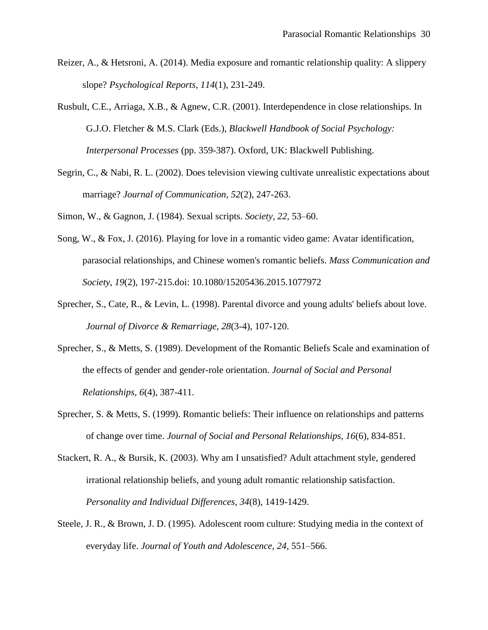- Reizer, A., & Hetsroni, A. (2014). Media exposure and romantic relationship quality: A slippery slope? *Psychological Reports*, *114*(1), 231-249.
- Rusbult, C.E., Arriaga, X.B., & Agnew, C.R. (2001). Interdependence in close relationships. In G.J.O. Fletcher & M.S. Clark (Eds.), *Blackwell Handbook of Social Psychology: Interpersonal Processes* (pp. 359-387). Oxford, UK: Blackwell Publishing.
- Segrin, C., & Nabi, R. L. (2002). Does television viewing cultivate unrealistic expectations about marriage? *Journal of Communication*, *52*(2), 247-263.

Simon, W., & Gagnon, J. (1984). Sexual scripts. *Society, 22,* 53–60.

- Song, W., & Fox, J. (2016). Playing for love in a romantic video game: Avatar identification, parasocial relationships, and Chinese women's romantic beliefs. *Mass Communication and Society*, *19*(2), 197-215.doi: 10.1080/15205436.2015.1077972
- Sprecher, S., Cate, R., & Levin, L. (1998). Parental divorce and young adults' beliefs about love. *Journal of Divorce & Remarriage, 28*(3-4), 107-120.
- Sprecher, S., & Metts, S. (1989). Development of the Romantic Beliefs Scale and examination of the effects of gender and gender-role orientation. *Journal of Social and Personal Relationships, 6*(4), 387-411.
- Sprecher, S. & Metts, S. (1999). Romantic beliefs: Their influence on relationships and patterns of change over time. *Journal of Social and Personal Relationships, 16*(6), 834-851.
- Stackert, R. A., & Bursik, K. (2003). Why am I unsatisfied? Adult attachment style, gendered irrational relationship beliefs, and young adult romantic relationship satisfaction. *Personality and Individual Differences*, *34*(8), 1419-1429.
- Steele, J. R., & Brown, J. D. (1995). Adolescent room culture: Studying media in the context of everyday life. *Journal of Youth and Adolescence, 24*, 551–566.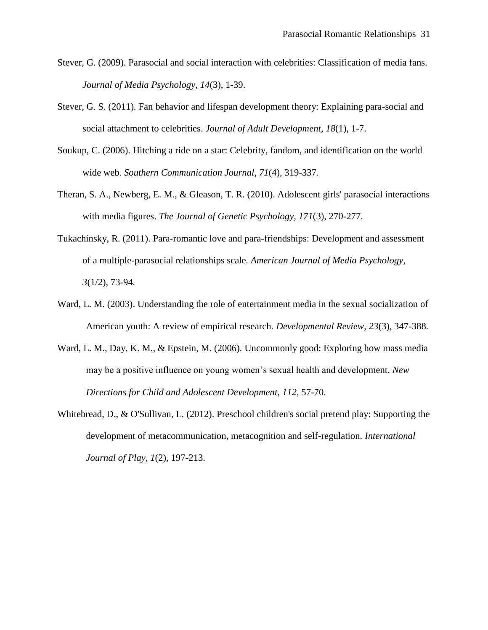- Stever, G. (2009). Parasocial and social interaction with celebrities: Classification of media fans. *Journal of Media Psychology*, *14*(3), 1-39.
- Stever, G. S. (2011). Fan behavior and lifespan development theory: Explaining para-social and social attachment to celebrities. *Journal of Adult Development*, *18*(1), 1-7.
- Soukup, C. (2006). Hitching a ride on a star: Celebrity, fandom, and identification on the world wide web. *Southern Communication Journal*, *71*(4), 319-337.
- Theran, S. A., Newberg, E. M., & Gleason, T. R. (2010). Adolescent girls' parasocial interactions with media figures. *The Journal of Genetic Psychology, 171*(3), 270-277.
- Tukachinsky, R. (2011). Para-romantic love and para-friendships: Development and assessment of a multiple-parasocial relationships scale*. American Journal of Media Psychology, 3*(1/2), 73-94*.*
- Ward, L. M. (2003). Understanding the role of entertainment media in the sexual socialization of American youth: A review of empirical research. *Developmental Review*, *23*(3), 347-388.
- Ward, L. M., Day, K. M., & Epstein, M. (2006). Uncommonly good: Exploring how mass media may be a positive influence on young women's sexual health and development. *New Directions for Child and Adolescent Development*, *112*, 57-70.
- Whitebread, D., & O'Sullivan, L. (2012). Preschool children's social pretend play: Supporting the development of metacommunication, metacognition and self-regulation. *International Journal of Play*, *1*(2), 197-213.